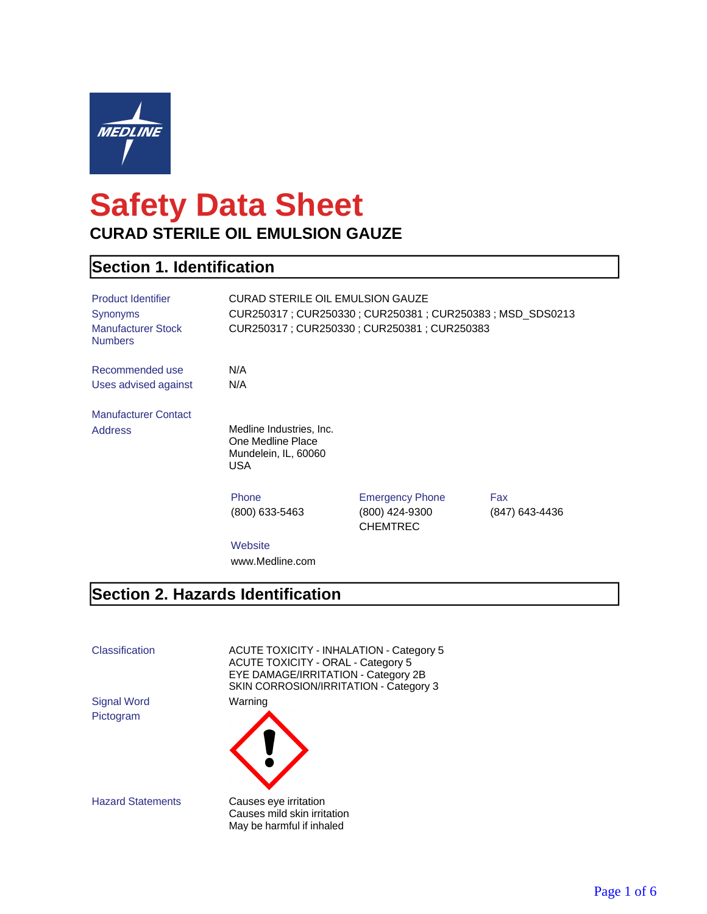

# **Safety Data Sheet CURAD STERILE OIL EMULSION GAUZE**

#### **Section 1. Identification**

| <b>Product Identifier</b><br><b>Synonyms</b><br><b>Manufacturer Stock</b><br><b>Numbers</b> | CURAD STERILE OIL EMULSION GAUZE<br>CUR250317 : CUR250330 : CUR250381 : CUR250383 : MSD SDS0213<br>CUR250317 : CUR250330 : CUR250381 : CUR250383 |                                                             |                       |
|---------------------------------------------------------------------------------------------|--------------------------------------------------------------------------------------------------------------------------------------------------|-------------------------------------------------------------|-----------------------|
| Recommended use                                                                             | N/A                                                                                                                                              |                                                             |                       |
| Uses advised against                                                                        | N/A                                                                                                                                              |                                                             |                       |
| <b>Manufacturer Contact</b>                                                                 |                                                                                                                                                  |                                                             |                       |
| <b>Address</b>                                                                              | Medline Industries, Inc.<br>One Medline Place<br>Mundelein, IL, 60060<br>USA                                                                     |                                                             |                       |
|                                                                                             | Phone<br>(800) 633-5463                                                                                                                          | <b>Emergency Phone</b><br>(800) 424-9300<br><b>CHEMTREC</b> | Fax<br>(847) 643-4436 |
|                                                                                             | $NAL = L = 112$                                                                                                                                  |                                                             |                       |

**Website** www.Medline.com

#### **Section 2. Hazards Identification**

Pictogram

Classification ACUTE TOXICITY - INHALATION - Category 5 ACUTE TOXICITY - ORAL - Category 5 EYE DAMAGE/IRRITATION - Category 2B SKIN CORROSION/IRRITATION - Category 3 Signal Word Warning



Hazard Statements Causes eye irritation Causes mild skin irritation May be harmful if inhaled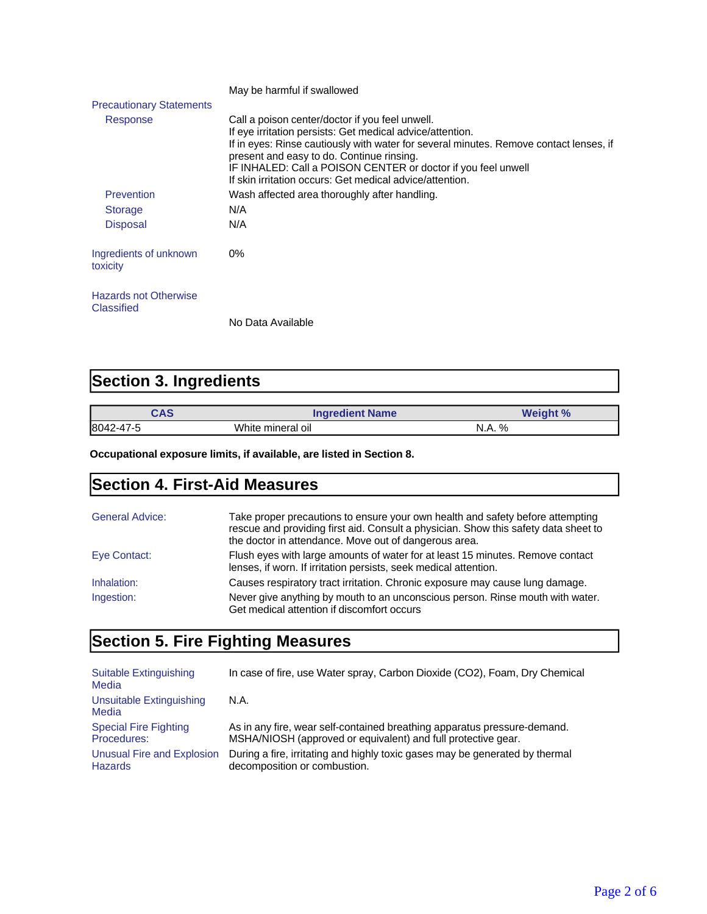|                                            | May be harmful if swallowed                                                                                                                                                                                                                                                                                                                                                      |
|--------------------------------------------|----------------------------------------------------------------------------------------------------------------------------------------------------------------------------------------------------------------------------------------------------------------------------------------------------------------------------------------------------------------------------------|
| <b>Precautionary Statements</b>            |                                                                                                                                                                                                                                                                                                                                                                                  |
| Response                                   | Call a poison center/doctor if you feel unwell.<br>If eye irritation persists: Get medical advice/attention.<br>If in eyes: Rinse cautiously with water for several minutes. Remove contact lenses, if<br>present and easy to do. Continue rinsing.<br>IF INHALED: Call a POISON CENTER or doctor if you feel unwell<br>If skin irritation occurs: Get medical advice/attention. |
| Prevention                                 | Wash affected area thoroughly after handling.                                                                                                                                                                                                                                                                                                                                    |
| <b>Storage</b>                             | N/A                                                                                                                                                                                                                                                                                                                                                                              |
| <b>Disposal</b>                            | N/A                                                                                                                                                                                                                                                                                                                                                                              |
| Ingredients of unknown<br>toxicity         | 0%                                                                                                                                                                                                                                                                                                                                                                               |
| <b>Hazards not Otherwise</b><br>Classified |                                                                                                                                                                                                                                                                                                                                                                                  |
|                                            | No Data Available                                                                                                                                                                                                                                                                                                                                                                |

## **Section 3. Ingredients**

| CAS       | <b>Ingredient Name</b> | <b>Weight %</b> |
|-----------|------------------------|-----------------|
| 8042-47-5 | White mineral oil      | N.A. %          |

**Occupational exposure limits, if available, are listed in Section 8.**

### **Section 4. First-Aid Measures**

| <b>General Advice:</b> | Take proper precautions to ensure your own health and safety before attempting<br>rescue and providing first aid. Consult a physician. Show this safety data sheet to<br>the doctor in attendance. Move out of dangerous area. |
|------------------------|--------------------------------------------------------------------------------------------------------------------------------------------------------------------------------------------------------------------------------|
| Eye Contact:           | Flush eyes with large amounts of water for at least 15 minutes. Remove contact<br>lenses, if worn. If irritation persists, seek medical attention.                                                                             |
| Inhalation:            | Causes respiratory tract irritation. Chronic exposure may cause lung damage.                                                                                                                                                   |
| Ingestion:             | Never give anything by mouth to an unconscious person. Rinse mouth with water.<br>Get medical attention if discomfort occurs                                                                                                   |

## **Section 5. Fire Fighting Measures**

| Suitable Extinguishing<br>Media   | In case of fire, use Water spray, Carbon Dioxide (CO2), Foam, Dry Chemical   |
|-----------------------------------|------------------------------------------------------------------------------|
| Unsuitable Extinguishing<br>Media | N.A.                                                                         |
| <b>Special Fire Fighting</b>      | As in any fire, wear self-contained breathing apparatus pressure-demand.     |
| Procedures:                       | MSHA/NIOSH (approved or equivalent) and full protective gear.                |
| Unusual Fire and Explosion        | During a fire, irritating and highly toxic gases may be generated by thermal |
| <b>Hazards</b>                    | decomposition or combustion.                                                 |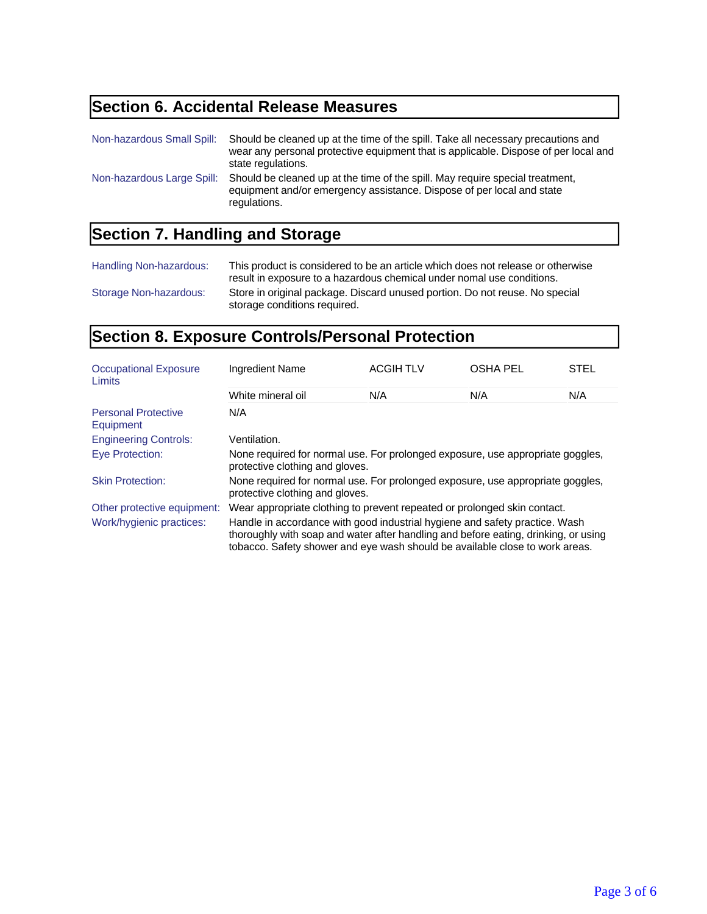## **Section 6. Accidental Release Measures**

| Non-hazardous Small Spill: | Should be cleaned up at the time of the spill. Take all necessary precautions and<br>wear any personal protective equipment that is applicable. Dispose of per local and<br>state regulations. |
|----------------------------|------------------------------------------------------------------------------------------------------------------------------------------------------------------------------------------------|
| Non-hazardous Large Spill: | Should be cleaned up at the time of the spill. May require special treatment,<br>equipment and/or emergency assistance. Dispose of per local and state<br>regulations.                         |

## **Section 7. Handling and Storage**

| Handling Non-hazardous: | This product is considered to be an article which does not release or otherwise<br>result in exposure to a hazardous chemical under nomal use conditions. |
|-------------------------|-----------------------------------------------------------------------------------------------------------------------------------------------------------|
| Storage Non-hazardous:  | Store in original package. Discard unused portion. Do not reuse. No special<br>storage conditions required.                                               |

## **Section 8. Exposure Controls/Personal Protection**

| <b>Occupational Exposure</b><br>Limits  | Ingredient Name                                                                                                                                                                                                                                    | <b>ACGIH TLV</b> | <b>OSHA PEL</b> | <b>STEL</b> |
|-----------------------------------------|----------------------------------------------------------------------------------------------------------------------------------------------------------------------------------------------------------------------------------------------------|------------------|-----------------|-------------|
|                                         | White mineral oil                                                                                                                                                                                                                                  | N/A              | N/A             | N/A         |
| <b>Personal Protective</b><br>Equipment | N/A                                                                                                                                                                                                                                                |                  |                 |             |
| <b>Engineering Controls:</b>            | Ventilation.                                                                                                                                                                                                                                       |                  |                 |             |
| Eye Protection:                         | None required for normal use. For prolonged exposure, use appropriate goggles,<br>protective clothing and gloves.                                                                                                                                  |                  |                 |             |
| <b>Skin Protection:</b>                 | None required for normal use. For prolonged exposure, use appropriate goggles,<br>protective clothing and gloves.                                                                                                                                  |                  |                 |             |
| Other protective equipment:             | Wear appropriate clothing to prevent repeated or prolonged skin contact.                                                                                                                                                                           |                  |                 |             |
| Work/hygienic practices:                | Handle in accordance with good industrial hygiene and safety practice. Wash<br>thoroughly with soap and water after handling and before eating, drinking, or using<br>tobacco. Safety shower and eye wash should be available close to work areas. |                  |                 |             |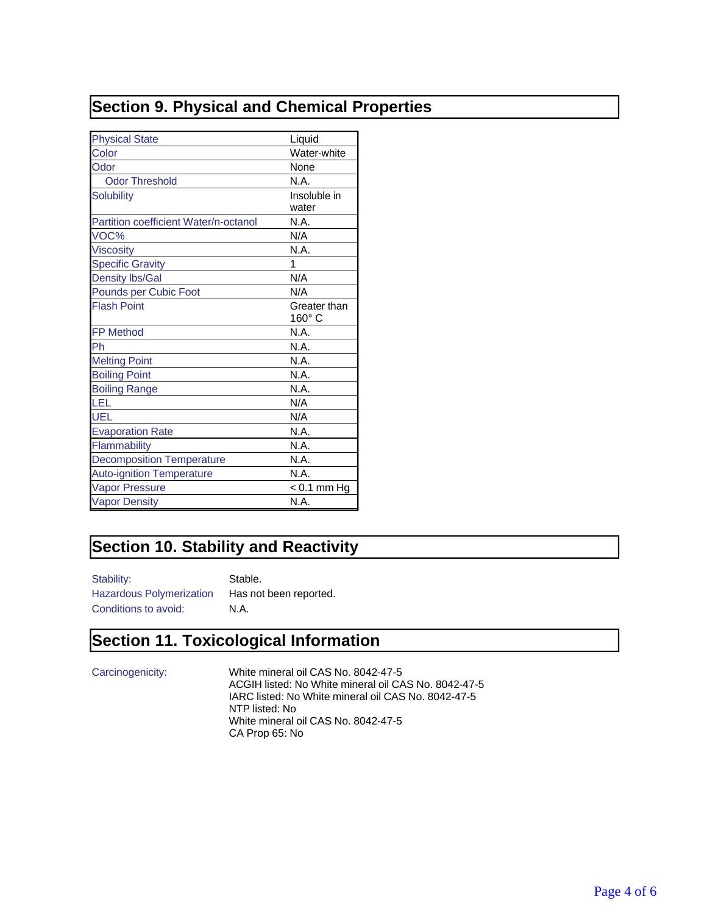#### **Section 9. Physical and Chemical Properties**

| <b>Physical State</b>                 | Liquid                        |
|---------------------------------------|-------------------------------|
| Color                                 | Water-white                   |
| Odor                                  | None                          |
| <b>Odor Threshold</b>                 | N.A.                          |
| <b>Solubility</b>                     | Insoluble in<br>water         |
| Partition coefficient Water/n-octanol | N.A.                          |
| VOC%                                  | N/A                           |
| <b>Viscosity</b>                      | N.A.                          |
| <b>Specific Gravity</b>               | 1                             |
| <b>Density lbs/Gal</b>                | N/A                           |
| Pounds per Cubic Foot                 | N/A                           |
| <b>Flash Point</b>                    | Greater than<br>$160^\circ$ C |
| <b>FP Method</b>                      | N.A.                          |
| Ph                                    | N.A.                          |
| <b>Melting Point</b>                  | N.A.                          |
| <b>Boiling Point</b>                  | N.A.                          |
| <b>Boiling Range</b>                  | N.A.                          |
| LEL                                   | N/A                           |
| UEL                                   | N/A                           |
| <b>Evaporation Rate</b>               | N.A.                          |
| Flammability                          | N.A.                          |
| <b>Decomposition Temperature</b>      | N.A.                          |
| <b>Auto-ignition Temperature</b>      | N.A.                          |
| <b>Vapor Pressure</b>                 | $< 0.1$ mm Hg                 |
| <b>Vapor Density</b>                  | N.A.                          |

#### **Section 10. Stability and Reactivity**

Stability: Stable. Conditions to avoid: N.A.

Hazardous Polymerization Has not been reported.

#### **Section 11. Toxicological Information**

Carcinogenicity: White mineral oil CAS No. 8042-47-5 ACGIH listed: No White mineral oil CAS No. 8042-47-5 IARC listed: No White mineral oil CAS No. 8042-47-5 NTP listed: No White mineral oil CAS No. 8042-47-5 CA Prop 65: No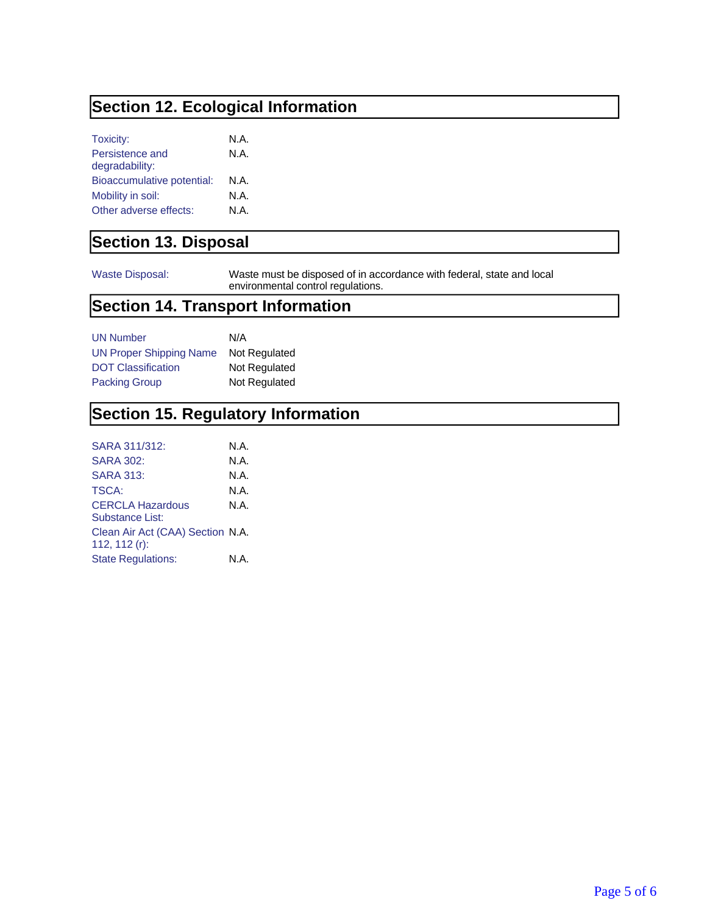### **Section 12. Ecological Information**

| Toxicity:                  | N.A. |
|----------------------------|------|
| Persistence and            | N.A. |
| degradability:             |      |
| Bioaccumulative potential: | N.A. |
| Mobility in soil:          | N.A. |
| Other adverse effects:     | N.A. |

#### **Section 13. Disposal**

Waste Disposal: Waste must be disposed of in accordance with federal, state and local environmental control regulations.

#### **Section 14. Transport Information**

| <b>UN Number</b>               | N/A           |
|--------------------------------|---------------|
| <b>UN Proper Shipping Name</b> | Not Regulated |
| <b>DOT Classification</b>      | Not Regulated |
| <b>Packing Group</b>           | Not Regulated |

#### **Section 15. Regulatory Information**

| <b>SARA 302:</b><br><b>SARA 313:</b><br>TSCA:<br><b>CERCLA Hazardous</b><br>Substance List:<br>Clean Air Act (CAA) Section N.A.<br>112, 112 (r):<br><b>State Regulations:</b> | SARA 311/312: | N.A. |
|-------------------------------------------------------------------------------------------------------------------------------------------------------------------------------|---------------|------|
|                                                                                                                                                                               |               | N.A. |
|                                                                                                                                                                               |               | N.A. |
|                                                                                                                                                                               |               | N.A. |
|                                                                                                                                                                               |               | N.A. |
|                                                                                                                                                                               |               |      |
|                                                                                                                                                                               |               | N.A. |